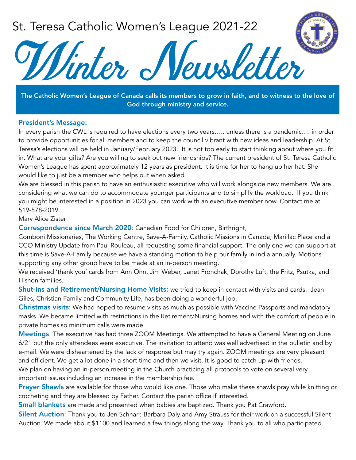## St. Teresa Catholic Women's League 2021-22



The Catholic Women's League of Canada calls its members to grow in faith, and to witness to the love of God through ministry and service.

## President's Message:

In every parish the CWL is required to have elections every two years..... unless there is a pandemic.... in order to provide opportunities for all members and to keep the council vibrant with new ideas and leadership. At St. Teresa's elections will be held in January/February 2023. It is not too early to start thinking about where you fit in. What are your gifts? Are you willing to seek out new friendships? The current president of St. Teresa Catholic Women's League has spent approximately 12 years as president. It is time for her to hang up her hat. She would like to just be a member who helps out when asked.

We are blessed in this parish to have an enthusiastic executive who will work alongside new members. We are considering what we can do to accommodate younger participants and to simplify the workload. If you think you might be interested in a position in 2023 you can work with an executive member now. Contact me at 519-578-2019.

## Mary Alice Zister

Correspondence since March 2020: Canadian Food for Children, Birthright,

Comboni Missionaries, The Working Centre, Save-A-Family, Catholic Missions in Canada, Marillac Place and a CCO Ministry Update from Paul Rouleau, all requesting some financial support. The only one we can support at this time is Save-A-Family because we have a standing motion to help our family in India annually. Motions supporting any other group have to be made at an in-person meeting.

We received 'thank you' cards from Ann Onn, Jim Weber, Janet Fronchak, Dorothy Luft, the Fritz, Psutka, and Hishon families.

Shut-Ins and Retirement/Nursing Home Visits: we tried to keep in contact with visits and cards. Jean Giles, Christian Family and Community Life, has been doing a wonderful job.

Christmas visits: We had hoped to resume visits as much as possible with Vaccine Passports and mandatory masks. We became limited with restrictions in the Retirement/Nursing homes and with the comfort of people in private homes so minimum calls were made.

Meetings: The executive has had three ZOOM Meetings. We attempted to have a General Meeting on June 6/21 but the only attendees were executive. The invitation to attend was well advertised in the bulletin and by e-mail. We were disheartened by the lack of response but may try again. ZOOM meetings are very pleasant and efficient. We get a lot done in a short time and then we visit. It is good to catch up with friends. We plan on having an in-person meeting in the Church practicing all protocols to vote on several very important issues including an increase in the membership fee.

Prayer Shawls are available for those who would like one. Those who make these shawls pray while knitting or crocheting and they are blessed by Father. Contact the parish office if interested.

Small blankets are made and presented when babies are baptized. Thank you Pat Crawford.

Silent Auction: Thank you to Jen Schnarr, Barbara Daly and Amy Strauss for their work on a successful Silent Auction. We made about \$1100 and learned a few things along the way. Thank you to all who participated.